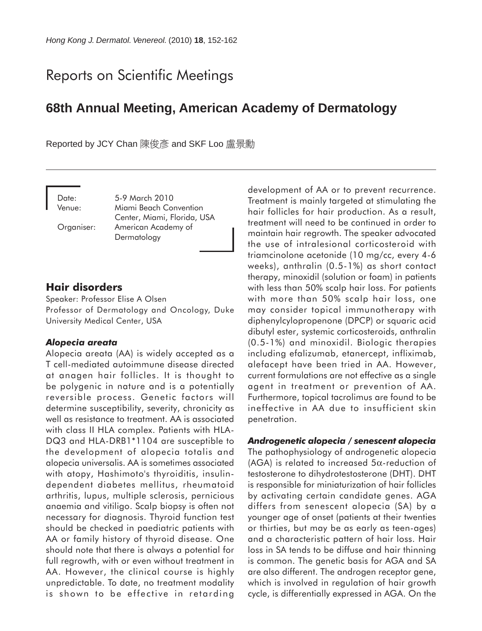# Reports on Scientific Meetings

## **68th Annual Meeting, American Academy of Dermatology**

Reported by JCY Chan 陳俊彥 and SKF Loo 盧景勳

Date: 5-9 March 2010 Venue: Miami Beach Convention Center, Miami, Florida, USA Organiser: American Academy of Dermatology

## **Hair disorders**

Speaker: Professor Elise A Olsen Professor of Dermatology and Oncology, Duke University Medical Center, USA

#### *Alopecia areata*

Alopecia areata (AA) is widely accepted as a T cell-mediated autoimmune disease directed at anagen hair follicles. It is thought to be polygenic in nature and is a potentially reversible process. Genetic factors will determine susceptibility, severity, chronicity as well as resistance to treatment. AA is associated with class II HLA complex. Patients with HLA-DQ3 and HLA-DRB1\*1104 are susceptible to the development of alopecia totalis and alopecia universalis. AA is sometimes associated with atopy, Hashimoto's thyroiditis, insulindependent diabetes mellitus, rheumatoid arthritis, lupus, multiple sclerosis, pernicious anaemia and vitiligo. Scalp biopsy is often not necessary for diagnosis. Thyroid function test should be checked in paediatric patients with AA or family history of thyroid disease. One should note that there is always a potential for full regrowth, with or even without treatment in AA. However, the clinical course is highly unpredictable. To date, no treatment modality is shown to be effective in retarding

development of AA or to prevent recurrence. Treatment is mainly targeted at stimulating the hair follicles for hair production. As a result, treatment will need to be continued in order to maintain hair regrowth. The speaker advocated the use of intralesional corticosteroid with triamcinolone acetonide (10 mg/cc, every 4-6 weeks), anthralin (0.5-1%) as short contact therapy, minoxidil (solution or foam) in patients with less than 50% scalp hair loss. For patients with more than 50% scalp hair loss, one may consider topical immunotherapy with diphenylcylopropenone (DPCP) or squaric acid dibutyl ester, systemic corticosteroids, anthralin (0.5-1%) and minoxidil. Biologic therapies including efalizumab, etanercept, infliximab, alefacept have been tried in AA. However, current formulations are not effective as a single agent in treatment or prevention of AA. Furthermore, topical tacrolimus are found to be ineffective in AA due to insufficient skin penetration.

#### *Androgenetic alopecia / senescent alopecia*

The pathophysiology of androgenetic alopecia (AGA) is related to increased  $5\alpha$ -reduction of testosterone to dihydrotestosterone (DHT). DHT is responsible for miniaturization of hair follicles by activating certain candidate genes. AGA differs from senescent alopecia (SA) by a younger age of onset (patients at their twenties or thirties, but may be as early as teen-ages) and a characteristic pattern of hair loss. Hair loss in SA tends to be diffuse and hair thinning is common. The genetic basis for AGA and SA are also different. The androgen receptor gene, which is involved in regulation of hair growth cycle, is differentially expressed in AGA. On the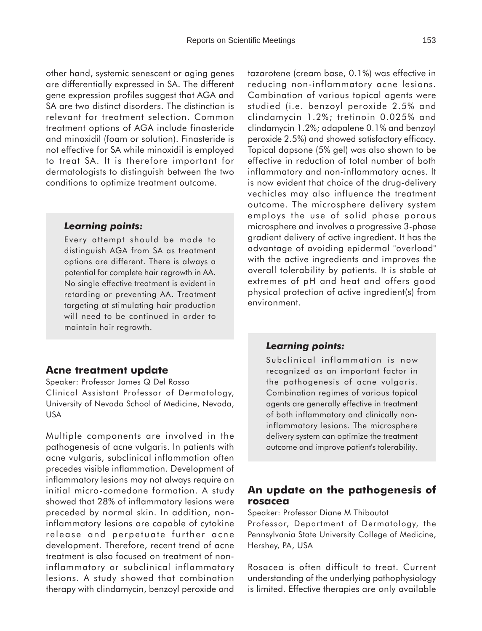other hand, systemic senescent or aging genes are differentially expressed in SA. The different gene expression profiles suggest that AGA and SA are two distinct disorders. The distinction is relevant for treatment selection. Common treatment options of AGA include finasteride and minoxidil (foam or solution). Finasteride is not effective for SA while minoxidil is employed to treat SA. It is therefore important for dermatologists to distinguish between the two conditions to optimize treatment outcome.

#### *Learning points:*

Every attempt should be made to distinguish AGA from SA as treatment options are different. There is always a potential for complete hair regrowth in AA. No single effective treatment is evident in retarding or preventing AA. Treatment targeting at stimulating hair production will need to be continued in order to maintain hair regrowth.

#### **Acne treatment update**

Speaker: Professor James Q Del Rosso Clinical Assistant Professor of Dermatology, University of Nevada School of Medicine, Nevada, USA

Multiple components are involved in the pathogenesis of acne vulgaris. In patients with acne vulgaris, subclinical inflammation often precedes visible inflammation. Development of inflammatory lesions may not always require an initial micro-comedone formation. A study showed that 28% of inflammatory lesions were preceded by normal skin. In addition, noninflammatory lesions are capable of cytokine release and perpetuate further acne development. Therefore, recent trend of acne treatment is also focused on treatment of noninflammatory or subclinical inflammatory lesions. A study showed that combination therapy with clindamycin, benzoyl peroxide and

tazarotene (cream base, 0.1%) was effective in reducing non-inflammatory acne lesions. Combination of various topical agents were studied (i.e. benzoyl peroxide 2.5% and clindamycin 1.2%; tretinoin 0.025% and clindamycin 1.2%; adapalene 0.1% and benzoyl peroxide 2.5%) and showed satisfactory efficacy. Topical dapsone (5% gel) was also shown to be effective in reduction of total number of both inflammatory and non-inflammatory acnes. It is now evident that choice of the drug-delivery vechicles may also influence the treatment outcome. The microsphere delivery system employs the use of solid phase porous microsphere and involves a progressive 3-phase gradient delivery of active ingredient. It has the advantage of avoiding epidermal "overload" with the active ingredients and improves the overall tolerability by patients. It is stable at extremes of pH and heat and offers good physical protection of active ingredient(s) from environment.

#### *Learning points:*

Subclinical inflammation is now recognized as an important factor in the pathogenesis of acne vulgaris. Combination regimes of various topical agents are generally effective in treatment of both inflammatory and clinically noninflammatory lesions. The microsphere delivery system can optimize the treatment outcome and improve patient's tolerability.

## **An update on the pathogenesis of rosacea**

Speaker: Professor Diane M Thiboutot

Professor, Department of Dermatology, the Pennsylvania State University College of Medicine, Hershey, PA, USA

Rosacea is often difficult to treat. Current understanding of the underlying pathophysiology is limited. Effective therapies are only available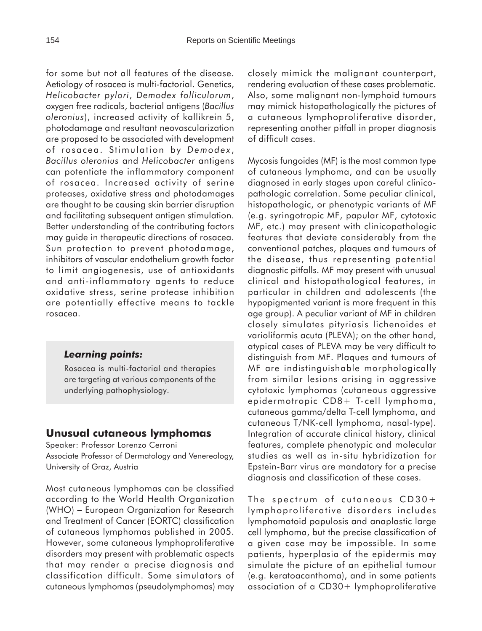for some but not all features of the disease. Aetiology of rosacea is multi-factorial. Genetics, *Helicobacter pylori*, *Demodex folliculorum*, oxygen free radicals, bacterial antigens (*Bacillus oleronius*), increased activity of kallikrein 5, photodamage and resultant neovascularization are proposed to be associated with development of rosacea. Stimulation by *Demodex* , *Bacillus oleronius* and *Helicobacter* antigens can potentiate the inflammatory component of rosacea. Increased activity of serine proteases, oxidative stress and photodamages are thought to be causing skin barrier disruption and facilitating subsequent antigen stimulation. Better understanding of the contributing factors may guide in therapeutic directions of rosacea. Sun protection to prevent photodamage, inhibitors of vascular endothelium growth factor to limit angiogenesis, use of antioxidants and anti-inflammatory agents to reduce oxidative stress, serine protease inhibition are potentially effective means to tackle rosacea.

#### *Learning points:*

Rosacea is multi-factorial and therapies are targeting at various components of the underlying pathophysiology.

## **Unusual cutaneous lymphomas**

Speaker: Professor Lorenzo Cerroni Associate Professor of Dermatology and Venereology, University of Graz, Austria

Most cutaneous lymphomas can be classified according to the World Health Organization (WHO) − European Organization for Research and Treatment of Cancer (EORTC) classification of cutaneous lymphomas published in 2005. However, some cutaneous lymphoproliferative disorders may present with problematic aspects that may render a precise diagnosis and classification difficult. Some simulators of cutaneous lymphomas (pseudolymphomas) may closely mimick the malignant counterpart, rendering evaluation of these cases problematic. Also, some malignant non-lymphoid tumours may mimick histopathologically the pictures of a cutaneous lymphoproliferative disorder, representing another pitfall in proper diagnosis of difficult cases.

Mycosis fungoides (MF) is the most common type of cutaneous lymphoma, and can be usually diagnosed in early stages upon careful clinicopathologic correlation. Some peculiar clinical, histopathologic, or phenotypic variants of MF (e.g. syringotropic MF, papular MF, cytotoxic MF, etc.) may present with clinicopathologic features that deviate considerably from the conventional patches, plaques and tumours of the disease, thus representing potential diagnostic pitfalls. MF may present with unusual clinical and histopathological features, in particular in children and adolescents (the hypopigmented variant is more frequent in this age group). A peculiar variant of MF in children closely simulates pityriasis lichenoides et varioliformis acuta (PLEVA); on the other hand, atypical cases of PLEVA may be very difficult to distinguish from MF. Plaques and tumours of MF are indistinguishable morphologically from similar lesions arising in aggressive cytotoxic lymphomas (cutaneous aggressive epidermotropic CD8+ T-cell lymphoma, cutaneous gamma/delta T-cell lymphoma, and cutaneous T/NK-cell lymphoma, nasal-type). Integration of accurate clinical history, clinical features, complete phenotypic and molecular studies as well as in-situ hybridization for Epstein-Barr virus are mandatory for a precise diagnosis and classification of these cases.

The spectrum of cutaneous CD30+ lymphoproliferative disorders includes lymphomatoid papulosis and anaplastic large cell lymphoma, but the precise classification of a given case may be impossible. In some patients, hyperplasia of the epidermis may simulate the picture of an epithelial tumour (e.g. keratoacanthoma), and in some patients association of a CD30+ lymphoproliferative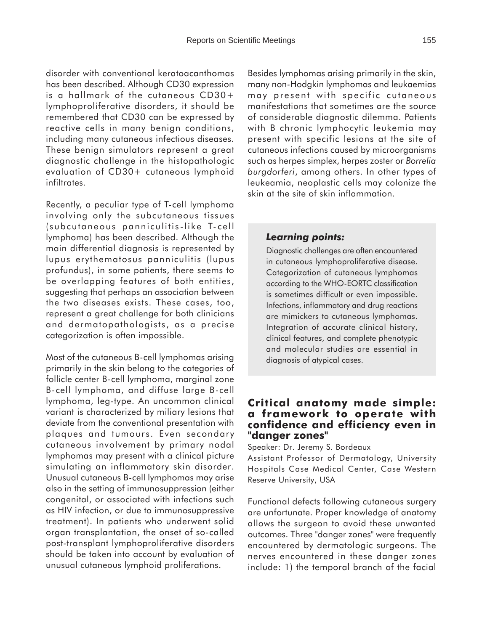disorder with conventional keratoacanthomas has been described. Although CD30 expression is a hallmark of the cutaneous CD30+ lymphoproliferative disorders, it should be remembered that CD30 can be expressed by reactive cells in many benign conditions, including many cutaneous infectious diseases. These benign simulators represent a great diagnostic challenge in the histopathologic evaluation of CD30+ cutaneous lymphoid infiltrates.

Recently, a peculiar type of T-cell lymphoma involving only the subcutaneous tissues (subcutaneous panniculitis-like T-cell lymphoma) has been described. Although the main differential diagnosis is represented by lupus erythematosus panniculitis (lupus profundus), in some patients, there seems to be overlapping features of both entities, suggesting that perhaps an association between the two diseases exists. These cases, too, represent a great challenge for both clinicians and dermatopathologists, as a precise categorization is often impossible.

Most of the cutaneous B-cell lymphomas arising primarily in the skin belong to the categories of follicle center B-cell lymphoma, marginal zone B-cell lymphoma, and diffuse large B-cell lymphoma, leg-type. An uncommon clinical variant is characterized by miliary lesions that deviate from the conventional presentation with plaques and tumours. Even secondary cutaneous involvement by primary nodal lymphomas may present with a clinical picture simulating an inflammatory skin disorder. Unusual cutaneous B-cell lymphomas may arise also in the setting of immunosuppression (either congenital, or associated with infections such as HIV infection, or due to immunosuppressive treatment). In patients who underwent solid organ transplantation, the onset of so-called post-transplant lymphoproliferative disorders should be taken into account by evaluation of unusual cutaneous lymphoid proliferations.

Besides lymphomas arising primarily in the skin, many non-Hodgkin lymphomas and leukaemias may present with specific cutaneous manifestations that sometimes are the source of considerable diagnostic dilemma. Patients with B chronic lymphocytic leukemia may present with specific lesions at the site of cutaneous infections caused by microorganisms such as herpes simplex, herpes zoster or *Borrelia burgdorferi*, among others. In other types of leukeamia, neoplastic cells may colonize the skin at the site of skin inflammation.

#### *Learning points:*

Diagnostic challenges are often encountered in cutaneous lymphoproliferative disease. Categorization of cutaneous lymphomas according to the WHO-EORTC classification is sometimes difficult or even impossible. Infections, inflammatory and drug reactions are mimickers to cutaneous lymphomas. Integration of accurate clinical history, clinical features, and complete phenotypic and molecular studies are essential in diagnosis of atypical cases.

## **Critical anatomy made simple: a framework to operate with confidence and efficiency even in "danger zones"**

Speaker: Dr. Jeremy S. Bordeaux

Assistant Professor of Dermatology, University Hospitals Case Medical Center, Case Western Reserve University, USA

Functional defects following cutaneous surgery are unfortunate. Proper knowledge of anatomy allows the surgeon to avoid these unwanted outcomes. Three "danger zones" were frequently encountered by dermatologic surgeons. The nerves encountered in these danger zones include: 1) the temporal branch of the facial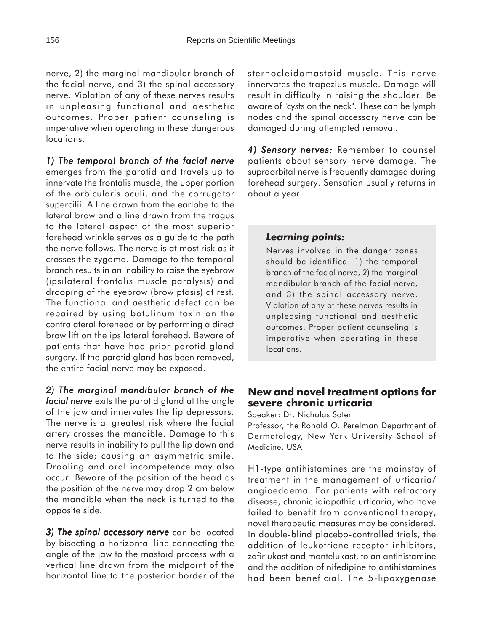nerve, 2) the marginal mandibular branch of the facial nerve, and 3) the spinal accessory nerve. Violation of any of these nerves results in unpleasing functional and aesthetic outcomes. Proper patient counseling is imperative when operating in these dangerous locations.

*1) The temporal branch of the facial nerve* emerges from the parotid and travels up to innervate the frontalis muscle, the upper portion of the orbicularis oculi, and the corrugator supercilii. A line drawn from the earlobe to the lateral brow and a line drawn from the tragus to the lateral aspect of the most superior forehead wrinkle serves as a guide to the path the nerve follows. The nerve is at most risk as it crosses the zygoma. Damage to the temporal branch results in an inability to raise the eyebrow (ipsilateral frontalis muscle paralysis) and drooping of the eyebrow (brow ptosis) at rest. The functional and aesthetic defect can be repaired by using botulinum toxin on the contralateral forehead or by performing a direct brow lift on the ipsilateral forehead. Beware of patients that have had prior parotid gland surgery. If the parotid gland has been removed, the entire facial nerve may be exposed.

*2) The marginal mandibular branch of the facial nerve* exits the parotid gland at the angle of the jaw and innervates the lip depressors. The nerve is at greatest risk where the facial artery crosses the mandible. Damage to this nerve results in inability to pull the lip down and to the side; causing an asymmetric smile. Drooling and oral incompetence may also occur. Beware of the position of the head as the position of the nerve may drop 2 cm below the mandible when the neck is turned to the opposite side.

*3) The spinal accessory nerve* can be located by bisecting a horizontal line connecting the angle of the jaw to the mastoid process with a vertical line drawn from the midpoint of the horizontal line to the posterior border of the sternocleidomastoid muscle. This nerve innervates the trapezius muscle. Damage will result in difficulty in raising the shoulder. Be aware of "cysts on the neck". These can be lymph nodes and the spinal accessory nerve can be damaged during attempted removal.

4) Sensory nerves: Remember to counsel patients about sensory nerve damage. The supraorbital nerve is frequently damaged during forehead surgery. Sensation usually returns in about a year.

## *Learning points:*

Nerves involved in the danger zones should be identified: 1) the temporal branch of the facial nerve, 2) the marginal mandibular branch of the facial nerve, and 3) the spinal accessory nerve. Violation of any of these nerves results in unpleasing functional and aesthetic outcomes. Proper patient counseling is imperative when operating in these locations.

## **New and novel treatment options for severe chronic urticaria**

Speaker: Dr. Nicholas Soter

Professor, the Ronald O. Perelman Department of Dermatology, New York University School of Medicine, USA

H1-type antihistamines are the mainstay of treatment in the management of urticaria/ angioedaema. For patients with refractory disease, chronic idiopathic urticaria, who have failed to benefit from conventional therapy, novel therapeutic measures may be considered. In double-blind placebo-controlled trials, the addition of leukotriene receptor inhibitors, zafirlukast and montelukast, to an antihistamine and the addition of nifedipine to antihistamines had been beneficial. The 5-lipoxygenase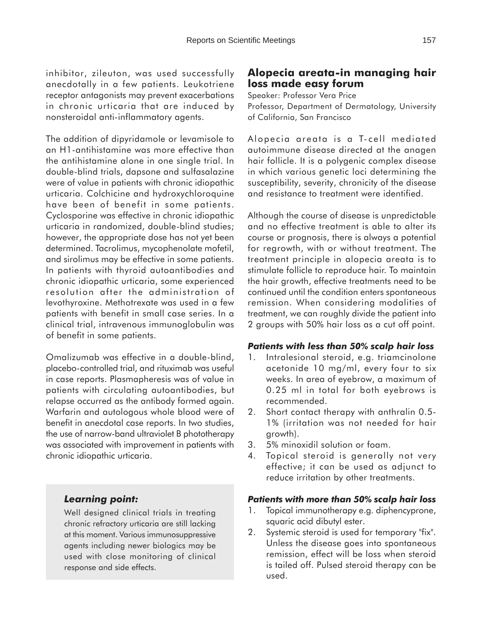inhibitor, zileuton, was used successfully anecdotally in a few patients. Leukotriene receptor antagonists may prevent exacerbations in chronic urticaria that are induced by nonsteroidal anti-inflammatory agents.

The addition of dipyridamole or levamisole to an H1-antihistamine was more effective than the antihistamine alone in one single trial. In double-blind trials, dapsone and sulfasalazine were of value in patients with chronic idiopathic urticaria. Colchicine and hydroxychloroquine have been of benefit in some patients. Cyclosporine was effective in chronic idiopathic urticaria in randomized, double-blind studies; however, the appropriate dose has not yet been determined. Tacrolimus, mycophenolate mofetil, and sirolimus may be effective in some patients. In patients with thyroid autoantibodies and chronic idiopathic urticaria, some experienced resolution after the administration of levothyroxine. Methotrexate was used in a few patients with benefit in small case series. In a clinical trial, intravenous immunoglobulin was of benefit in some patients.

Omalizumab was effective in a double-blind, placebo-controlled trial, and rituximab was useful in case reports. Plasmapheresis was of value in patients with circulating autoantibodies, but relapse occurred as the antibody formed again. Warfarin and autologous whole blood were of benefit in anecdotal case reports. In two studies, the use of narrow-band ultraviolet B phototherapy was associated with improvement in patients with chronic idiopathic urticaria.

## *Learning point:*

Well designed clinical trials in treating chronic refractory urticaria are still lacking at this moment. Various immunosuppressive agents including newer biologics may be used with close monitoring of clinical response and side effects.

## **Alopecia areata-in managing hair loss made easy forum**

Speaker: Professor Vera Price Professor, Department of Dermatology, University of California, San Francisco

Alopecia areata is a T-cell mediated autoimmune disease directed at the anagen hair follicle. It is a polygenic complex disease in which various genetic loci determining the susceptibility, severity, chronicity of the disease and resistance to treatment were identified.

Although the course of disease is unpredictable and no effective treatment is able to alter its course or prognosis, there is always a potential for regrowth, with or without treatment. The treatment principle in alopecia areata is to stimulate follicle to reproduce hair. To maintain the hair growth, effective treatments need to be continued until the condition enters spontaneous remission. When considering modalities of treatment, we can roughly divide the patient into 2 groups with 50% hair loss as a cut off point.

#### *Patients with less than 50% scalp hair loss*

- 1. Intralesional steroid, e.g. triamcinolone acetonide 10 mg/ml, every four to six weeks. In area of eyebrow, a maximum of 0.25 ml in total for both eyebrows is recommended.
- 2. Short contact therapy with anthralin 0.5- 1% (irritation was not needed for hair growth).
- 3. 5% minoxidil solution or foam.
- 4. Topical steroid is generally not very effective; it can be used as adjunct to reduce irritation by other treatments.

#### *Patients with more than 50% scalp hair loss*

- 1. Topical immunotherapy e.g. diphencyprone, squaric acid dibutyl ester.
- 2. Systemic steroid is used for temporary "fix". Unless the disease goes into spontaneous remission, effect will be loss when steroid is tailed off. Pulsed steroid therapy can be used.